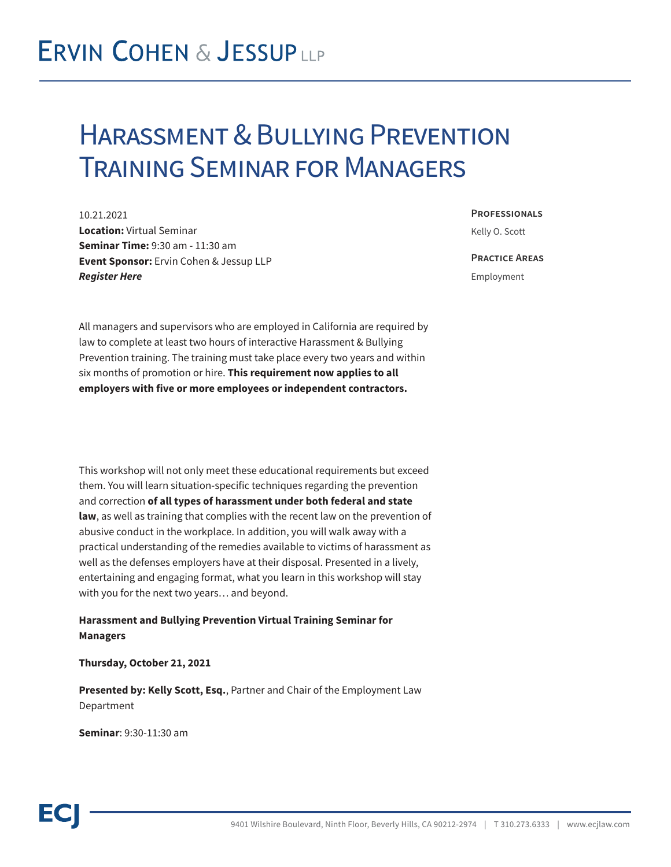## **ERVIN COHEN & JESSUPLLP**

## Harassment & Bullying Prevention Training Seminar for Managers

10.21.2021 **Location:** Virtual Seminar **Seminar Time:** 9:30 am - 11:30 am **Event Sponsor:** Ervin Cohen & Jessup LLP *Register Here*

**Professionals** Kelly O. Scott

**Practice Areas**

Employment

All managers and supervisors who are employed in California are required by law to complete at least two hours of interactive Harassment & Bullying Prevention training. The training must take place every two years and within six months of promotion or hire. **This requirement now applies to all employers with five or more employees or independent contractors.**

This workshop will not only meet these educational requirements but exceed them. You will learn situation-specific techniques regarding the prevention and correction **of all types of harassment under both federal and state law**, as well as training that complies with the recent law on the prevention of abusive conduct in the workplace. In addition, you will walk away with a practical understanding of the remedies available to victims of harassment as well as the defenses employers have at their disposal. Presented in a lively, entertaining and engaging format, what you learn in this workshop will stay with you for the next two years… and beyond.

**Harassment and Bullying Prevention Virtual Training Seminar for Managers**

**Thursday, October 21, 2021**

**Presented by: Kelly Scott, Esq.**, Partner and Chair of the Employment Law Department

**Seminar**: 9:30-11:30 am